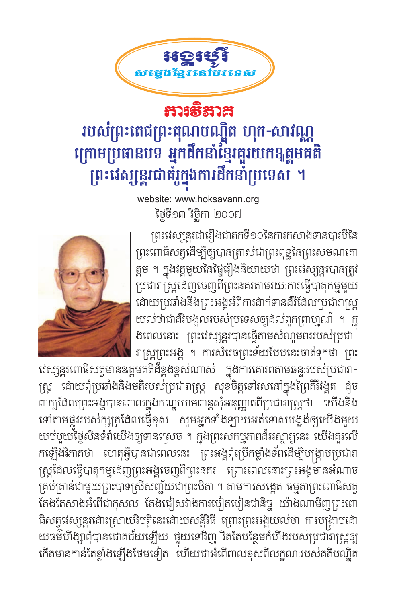

## ការទីតាគ របស់ព្រះតេជព្រះគុណបណ្ឌិត ហុក-សាវណ្ណ ក្រោមប្រធានបទ អ្នកដឹកនាំខ្មែរជួរយកទុត្តមគតិ ព្រះវេស្សន្តរជាគុំរូក្នុងការដឹកនាំប្រទេស ។

website: www.hoksavann.org ថ្ងៃទី១៣ វិច្ឆិកា ២០០៧

ព្រះវេស្សន្តរជារឿងជាតកទី១០នៃការកសាងទានបារមីនៃ ព្រះពោធិសត្វដើម្បីឲ្យបានត្រាស់ជាព្រះពុទ្ឋនៃព្រះសមណគោ ត្តម ។ ក្នុងវគ្គមួយនៃផ្ទៃរឿងនិយាយថា ព្រះវេស្សន្តរបានត្រូវ ប្រជារាស្ត្រដេញចេញពីព្រះនគរតាមរយ:ការធ្វើបាតុកម្មមួយ ដោយប្រឆាំងនឹងព្រះអង្គអំពីការដាក់ទានដ៏សែលប្រជារាស្ត្រ យល់ថាជាដីវិមង្គលរបស់ប្រទេសឲ្យដល់ពួកព្រាហ្មណ៍ ។ ក្ន ងពេលនោះ ព្រះវេស្សន្តរបានធ្វើតាមសំណូមពររបស់ប្រជា-រាស្ត្រព្រះអង្គ ។ ការសំរេចព្រះទ័យបែបនេះចាត់ទុកថា ព្រះ



វេស្សន្តុរពោធិសត្វមានឧត្តមគតិដ៏ខ្ពង់ខ្ពស់ណាស់ ក្នុងការគោរពតាមឆន្ទ:របស់ប្រជារា-ស្ត្រ ដោយពុំប្រឆាំងនិងមតិរបស់ប្រជារាស្ត្រ សុខចិត្តទៅរស់នៅក្នុងព្រៃគិរីវង្គត ងូច ពាក្យដែលព្រះអង្គបានពោលក្នុងកណ្ឌហេមពាន្តសុំអនុញ្ញាតពីប្រជារាស្ត្រថា យើងនឹង ទៅតាមផ្លូវរបស់ក្សត្រូដែលធ្វើខុស សូមអ្នកទាំងឡាយអត់ទោសបង្អុង់ឲ្យយើងមួយ យប់មួយថ្ងៃសិនទំរាំយើងឲ្យទានស្រេច ។ ក្នុងព្រះសកម្មភាពដ៏អស្ចារ្យនេះ យើងគួរលើ កឡើងវិភាគថា ហេតុអ្វីបានជាពេលនេះ ព្រះអង្គពុំប្រើកម្លាំងទ័ពដើម្បីបង្ក្រាបប្រជារា ស្ត្រដែលធ្វើបាតុកម្មដេញព្រះអង្គចេញពីព្រះនគរ ព្រោះពេលនោះព្រះអង្គមានអំណាច គ្រប់គ្រាន់ជាមួយព្រះបាទស្រីសញ្ច័យជាព្រះបិតា ។ តាមការសង្កេត ធម្មតាព្រះពោធិសត្វ តែងតែសាងអំពើជាកុសល តែងជៀសវាងការបៀតបៀនជានិច្ច យ៉ាងណាមិញព្រះពោ ធិសត្វវេស្សន្តរដោះស្រាយវិបត្តិនេះដោយសន្តិវិធី ព្រោះព្រះអង្គុយល់ថា ការបង្ក្រាបដោ យធម៌ហឹង្សាពុំបានជោគជ័យឡើយ ផ្ទុយទៅវិញ រឹតតែបន្ថែមកំហឹងរបស់ប្រជារាស្ត្រឲ្យ កើតមានកាន់តែខ្លាំងឡើងថែមទៀត ហើយជាអំពើពាលខុសពីលក្ខណៈរបស់គតិបណ្ឌិត